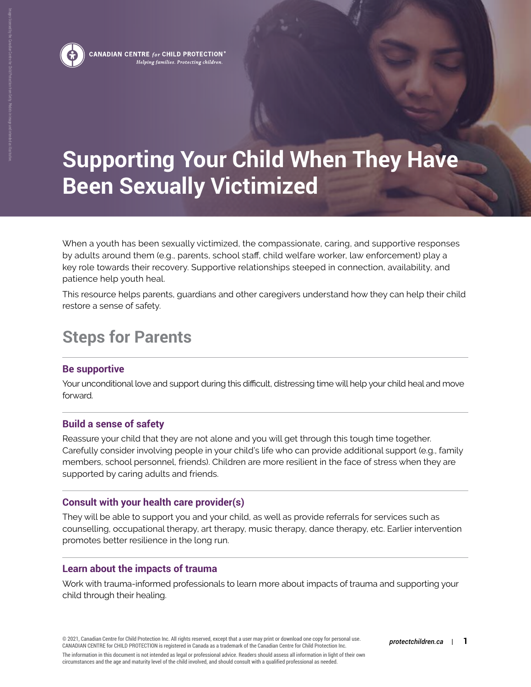

Images licensed by the Canadian Centre for Child Protection from Getty. Models in image and intended as illustrative.

CANADIAN CENTRE  $_{for}$  CHILD PROTECTION  $^{\circ}$ Helping families. Protecting children.

# **Supporting Your Child When They Have Been Sexually Victimized**

When a youth has been sexually victimized, the compassionate, caring, and supportive responses by adults around them (e.g., parents, school staff, child welfare worker, law enforcement) play a key role towards their recovery. Supportive relationships steeped in connection, availability, and patience help youth heal.

This resource helps parents, guardians and other caregivers understand how they can help their child restore a sense of safety.

# **Steps for Parents**

# **Be supportive**

Your unconditional love and support during this difficult, distressing time will help your child heal and move forward.

# **Build a sense of safety**

Reassure your child that they are not alone and you will get through this tough time together. Carefully consider involving people in your child's life who can provide additional support (e.g., family members, school personnel, friends). Children are more resilient in the face of stress when they are supported by caring adults and friends.

#### **Consult with your health care provider(s)**

They will be able to support you and your child, as well as provide referrals for services such as counselling, occupational therapy, art therapy, music therapy, dance therapy, etc. Earlier intervention promotes better resilience in the long run.

# **Learn about the impacts of trauma**

Work with trauma-informed professionals to learn more about impacts of trauma and supporting your child through their healing.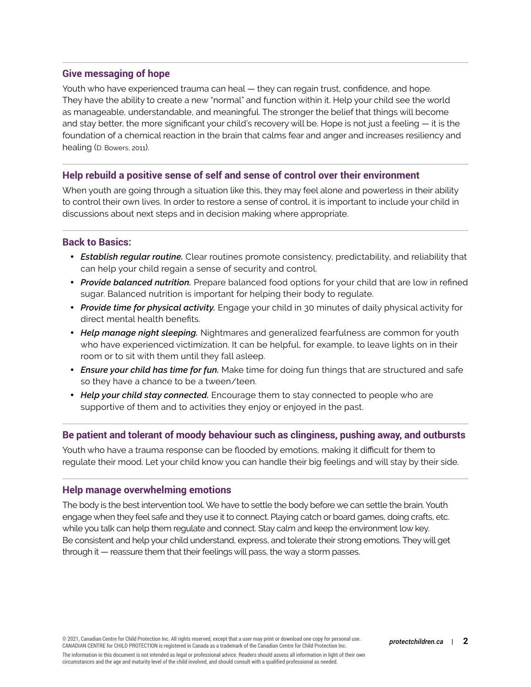#### **Give messaging of hope**

Youth who have experienced trauma can heal — they can regain trust, confidence, and hope. They have the ability to create a new "normal" and function within it. Help your child see the world as manageable, understandable, and meaningful. The stronger the belief that things will become and stay better, the more significant your child's recovery will be. Hope is not just a feeling — it is the foundation of a chemical reaction in the brain that calms fear and anger and increases resiliency and healing (D. Bowers, 2011).

#### **Help rebuild a positive sense of self and sense of control over their environment**

When youth are going through a situation like this, they may feel alone and powerless in their ability to control their own lives. In order to restore a sense of control, it is important to include your child in discussions about next steps and in decision making where appropriate.

#### **Back to Basics:**

- *Establish regular routine.* Clear routines promote consistency, predictability, and reliability that can help your child regain a sense of security and control.
- *Provide balanced nutrition.* Prepare balanced food options for your child that are low in refined sugar. Balanced nutrition is important for helping their body to regulate.
- *Provide time for physical activity.* Engage your child in 30 minutes of daily physical activity for direct mental health benefits.
- *Help manage night sleeping.* Nightmares and generalized fearfulness are common for youth who have experienced victimization. It can be helpful, for example, to leave lights on in their room or to sit with them until they fall asleep.
- *Ensure your child has time for fun.* Make time for doing fun things that are structured and safe so they have a chance to be a tween/teen.
- *Help your child stay connected.* Encourage them to stay connected to people who are supportive of them and to activities they enjoy or enjoyed in the past.

#### **Be patient and tolerant of moody behaviour such as clinginess, pushing away, and outbursts**

Youth who have a trauma response can be flooded by emotions, making it difficult for them to regulate their mood. Let your child know you can handle their big feelings and will stay by their side.

#### **Help manage overwhelming emotions**

The body is the best intervention tool. We have to settle the body before we can settle the brain. Youth engage when they feel safe and they use it to connect. Playing catch or board games, doing crafts, etc. while you talk can help them regulate and connect. Stay calm and keep the environment low key. Be consistent and help your child understand, express, and tolerate their strong emotions. They will get through it — reassure them that their feelings will pass, the way a storm passes.